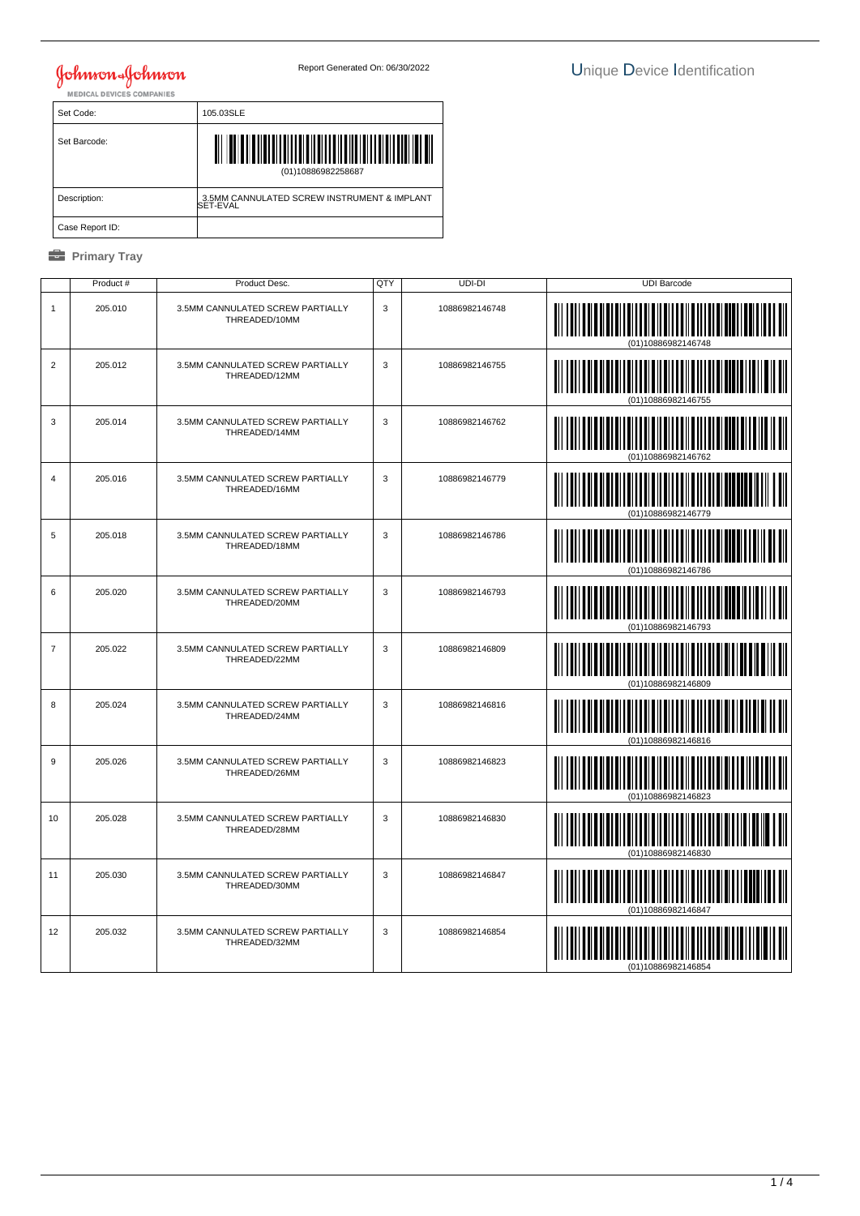Set Code: 105.03SLE Set Barcode: (01)10886982258687 │ Description: | 3.5MM CANNULATED SCREW INSTRUMENT & IMPLANT<br>SET-EVAL Case Report ID:

|                | Product # | Product Desc.                                     | QTY | UDI-DI         | <b>UDI Barcode</b>    |
|----------------|-----------|---------------------------------------------------|-----|----------------|-----------------------|
| $\mathbf{1}$   | 205.010   | 3.5MM CANNULATED SCREW PARTIALLY<br>THREADED/10MM | 3   | 10886982146748 |                       |
| $\overline{2}$ | 205.012   | 3.5MM CANNULATED SCREW PARTIALLY<br>THREADED/12MM | 3   | 10886982146755 | (01)10886982146755    |
| 3              | 205.014   | 3.5MM CANNULATED SCREW PARTIALLY<br>THREADED/14MM | 3   | 10886982146762 | (01)10886982146762    |
| $\overline{4}$ | 205.016   | 3.5MM CANNULATED SCREW PARTIALLY<br>THREADED/16MM | 3   | 10886982146779 |                       |
| 5              | 205.018   | 3.5MM CANNULATED SCREW PARTIALLY<br>THREADED/18MM | 3   | 10886982146786 |                       |
| 6              | 205.020   | 3.5MM CANNULATED SCREW PARTIALLY<br>THREADED/20MM | 3   | 10886982146793 |                       |
| $\overline{7}$ | 205.022   | 3.5MM CANNULATED SCREW PARTIALLY<br>THREADED/22MM | 3   | 10886982146809 |                       |
| 8              | 205.024   | 3.5MM CANNULATED SCREW PARTIALLY<br>THREADED/24MM | 3   | 10886982146816 | <b>THE TELEVISION</b> |
| 9              | 205.026   | 3.5MM CANNULATED SCREW PARTIALLY<br>THREADED/26MM | 3   | 10886982146823 |                       |
| 10             | 205.028   | 3.5MM CANNULATED SCREW PARTIALLY<br>THREADED/28MM | 3   | 10886982146830 |                       |
| 11             | 205.030   | 3.5MM CANNULATED SCREW PARTIALLY<br>THREADED/30MM | 3   | 10886982146847 |                       |
| 12             | 205.032   | 3.5MM CANNULATED SCREW PARTIALLY<br>THREADED/32MM | 3   | 10886982146854 |                       |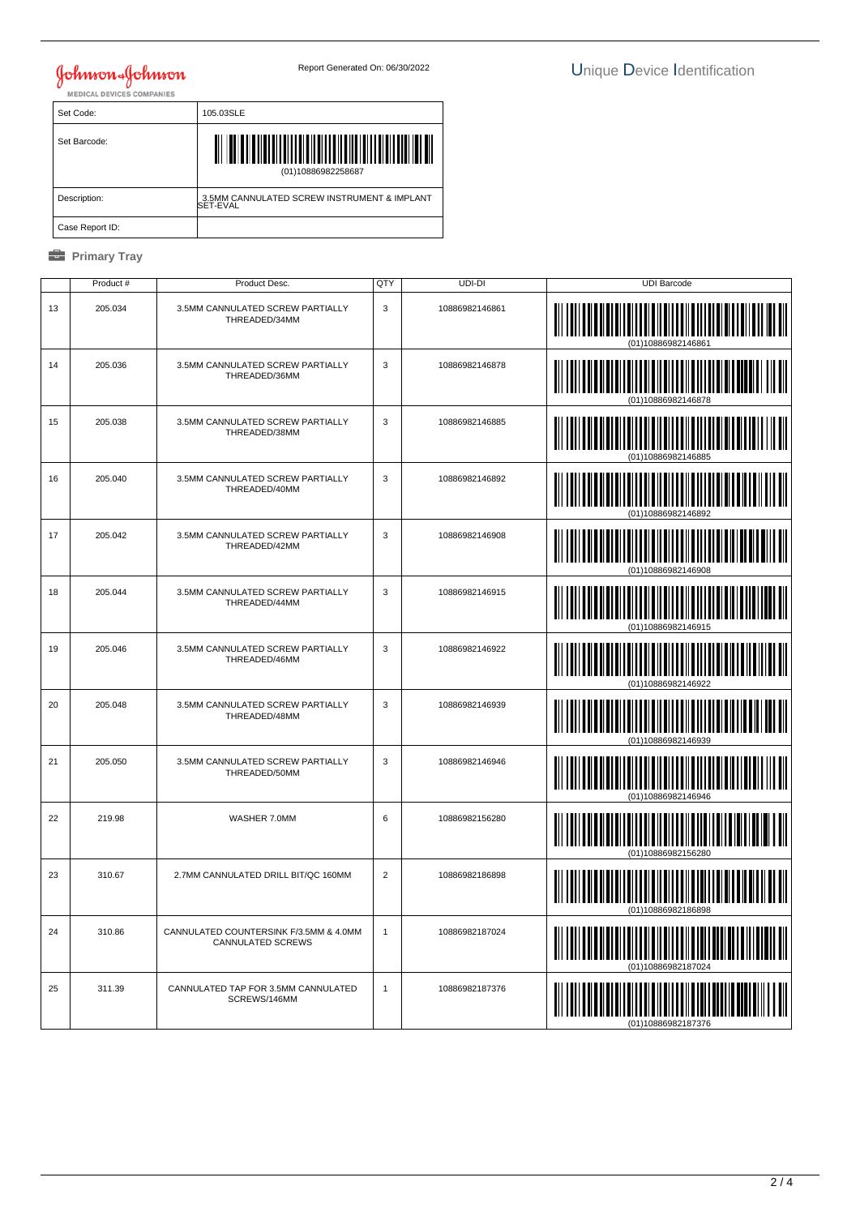Set Code: 105.03SLE Set Barcode: (01)10886982258687 │ Description: | 3.5MM CANNULATED SCREW INSTRUMENT & IMPLANT<br>SET-EVAL Case Report ID:

|    | Product # | Product Desc.                                               | QTY            | UDI-DI         | <b>UDI Barcode</b> |
|----|-----------|-------------------------------------------------------------|----------------|----------------|--------------------|
| 13 | 205.034   | 3.5MM CANNULATED SCREW PARTIALLY<br>THREADED/34MM           | 3              | 10886982146861 | (01)10886982146861 |
| 14 | 205.036   | 3.5MM CANNULATED SCREW PARTIALLY<br>THREADED/36MM           | 3              | 10886982146878 |                    |
| 15 | 205.038   | 3.5MM CANNULATED SCREW PARTIALLY<br>THREADED/38MM           | 3              | 10886982146885 |                    |
| 16 | 205.040   | 3.5MM CANNULATED SCREW PARTIALLY<br>THREADED/40MM           | 3              | 10886982146892 |                    |
| 17 | 205.042   | 3.5MM CANNULATED SCREW PARTIALLY<br>THREADED/42MM           | $\mathsf 3$    | 10886982146908 |                    |
| 18 | 205.044   | 3.5MM CANNULATED SCREW PARTIALLY<br>THREADED/44MM           | 3              | 10886982146915 | (01)10886982146915 |
| 19 | 205.046   | 3.5MM CANNULATED SCREW PARTIALLY<br>THREADED/46MM           | 3              | 10886982146922 | (01)10886982146922 |
| 20 | 205.048   | 3.5MM CANNULATED SCREW PARTIALLY<br>THREADED/48MM           | 3              | 10886982146939 |                    |
| 21 | 205.050   | 3.5MM CANNULATED SCREW PARTIALLY<br>THREADED/50MM           | 3              | 10886982146946 |                    |
| 22 | 219.98    | WASHER 7.0MM                                                | 6              | 10886982156280 | (01)10886982156280 |
| 23 | 310.67    | 2.7MM CANNULATED DRILL BIT/QC 160MM                         | $\overline{2}$ | 10886982186898 |                    |
| 24 | 310.86    | CANNULATED COUNTERSINK F/3.5MM & 4.0MM<br>CANNULATED SCREWS | $\mathbf{1}$   | 10886982187024 | (01)10886982187024 |
| 25 | 311.39    | CANNULATED TAP FOR 3.5MM CANNULATED<br>SCREWS/146MM         | $\mathbf{1}$   | 10886982187376 |                    |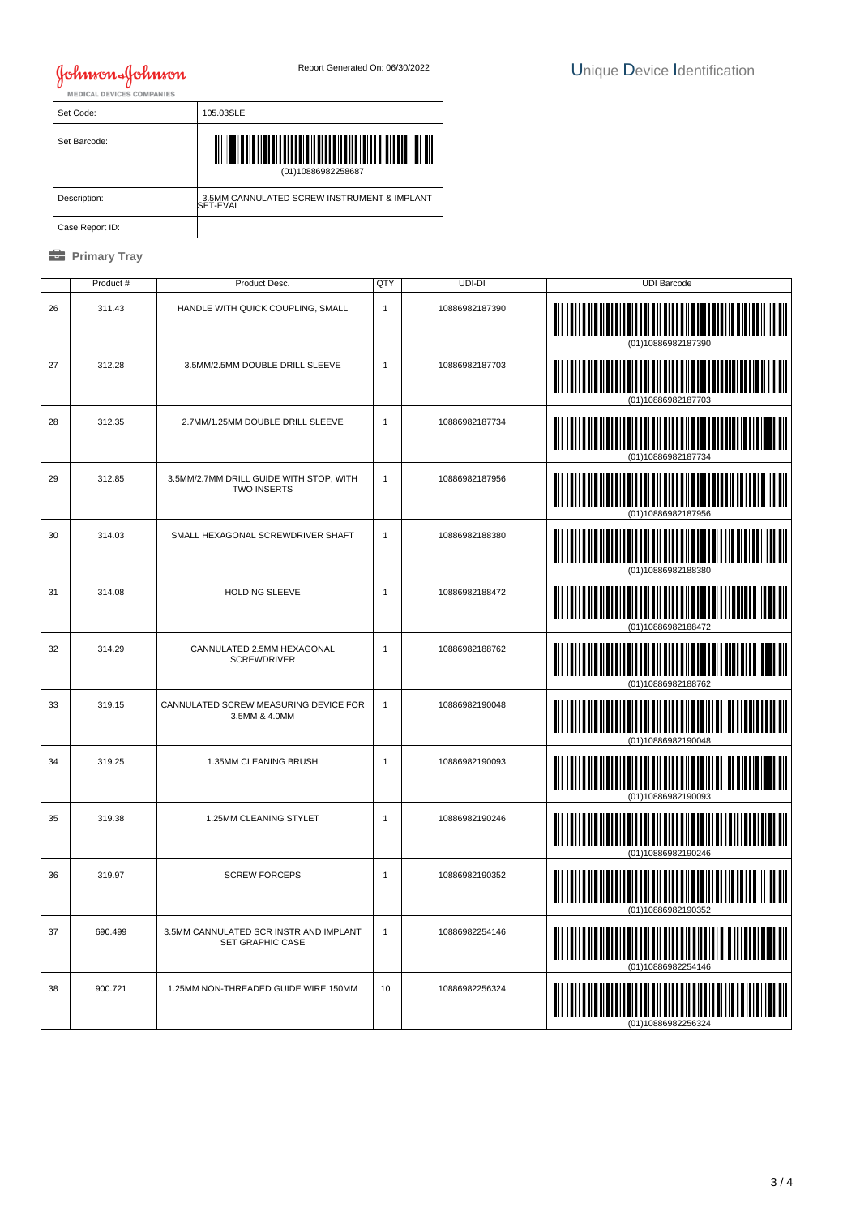Set Code: 105.03SLE Set Barcode: (01)10886982258687 │ Description: | 3.5MM CANNULATED SCREW INSTRUMENT & IMPLANT<br>SET-EVAL Case Report ID:

|    | Product# | Product Desc.                                                 | QTY          | UDI-DI         | <b>UDI Barcode</b>                              |
|----|----------|---------------------------------------------------------------|--------------|----------------|-------------------------------------------------|
| 26 | 311.43   | HANDLE WITH QUICK COUPLING, SMALL                             | $\mathbf{1}$ | 10886982187390 |                                                 |
| 27 | 312.28   | 3.5MM/2.5MM DOUBLE DRILL SLEEVE                               | $\mathbf{1}$ | 10886982187703 | (01)10886982187703                              |
| 28 | 312.35   | 2.7MM/1.25MM DOUBLE DRILL SLEEVE                              | $\mathbf{1}$ | 10886982187734 |                                                 |
| 29 | 312.85   | 3.5MM/2.7MM DRILL GUIDE WITH STOP, WITH<br><b>TWO INSERTS</b> | 1            | 10886982187956 |                                                 |
| 30 | 314.03   | SMALL HEXAGONAL SCREWDRIVER SHAFT                             | $\mathbf{1}$ | 10886982188380 |                                                 |
| 31 | 314.08   | <b>HOLDING SLEEVE</b>                                         | $\mathbf{1}$ | 10886982188472 |                                                 |
| 32 | 314.29   | CANNULATED 2.5MM HEXAGONAL<br><b>SCREWDRIVER</b>              | 1            | 10886982188762 | (01)10886982188762                              |
| 33 | 319.15   | CANNULATED SCREW MEASURING DEVICE FOR<br>3.5MM & 4.0MM        | $\mathbf{1}$ | 10886982190048 |                                                 |
| 34 | 319.25   | 1.35MM CLEANING BRUSH                                         | $\mathbf{1}$ | 10886982190093 |                                                 |
| 35 | 319.38   | 1.25MM CLEANING STYLET                                        | $\mathbf{1}$ | 10886982190246 | (01)10886982190246                              |
| 36 | 319.97   | <b>SCREW FORCEPS</b>                                          | $\mathbf{1}$ | 10886982190352 |                                                 |
| 37 | 690.499  | 3.5MM CANNULATED SCR INSTR AND IMPLANT<br>SET GRAPHIC CASE    | $\mathbf{1}$ | 10886982254146 | <b>                  </b><br>(01)10886982254146 |
| 38 | 900.721  | 1.25MM NON-THREADED GUIDE WIRE 150MM                          | 10           | 10886982256324 |                                                 |